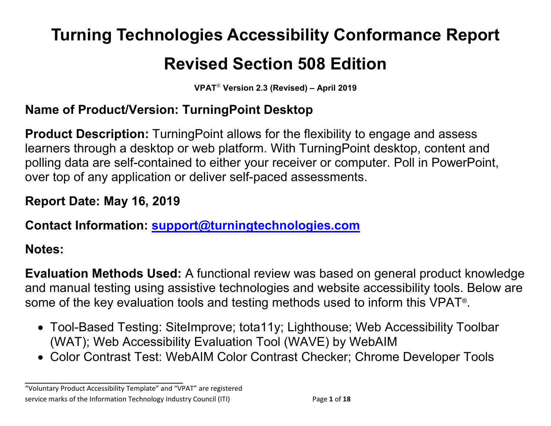# **Turning Technologies Accessibility Conformance Report**

# **Revised Section 508 Edition**

**VPAT**® **Version 2.3 (Revised) – April 2019**

## **Name of Product/Version: TurningPoint Desktop**

**Product Description:** TurningPoint allows for the flexibility to engage and assess learners through a desktop or web platform. With TurningPoint desktop, content and polling data are self-contained to either your receiver or computer. Poll in PowerPoint, over top of any application or deliver self-paced assessments.

## **Report Date: May 16, 2019**

## **Contact Information: [support@turningtechnologies.com](mailto:support@turningtechnologies.com)**

## **Notes:**

**Evaluation Methods Used:** A functional review was based on general product knowledge and manual testing using assistive technologies and website accessibility tools. Below are some of the key evaluation tools and testing methods used to inform this VPAT®.

- Tool-Based Testing: SiteImprove; tota11y; Lighthouse; Web Accessibility Toolbar (WAT); Web Accessibility Evaluation Tool (WAVE) by WebAIM
- Color Contrast Test: WebAIM Color Contrast Checker; Chrome Developer Tools

"Voluntary Product Accessibility Template" and "VPAT" are registered service marks of the Information Technology Industry Council (ITI) Page **1** of **18**

**\_\_\_\_\_\_\_\_\_\_\_\_\_\_\_\_\_\_\_\_\_\_\_\_\_\_\_\_\_\_\_\_\_\_**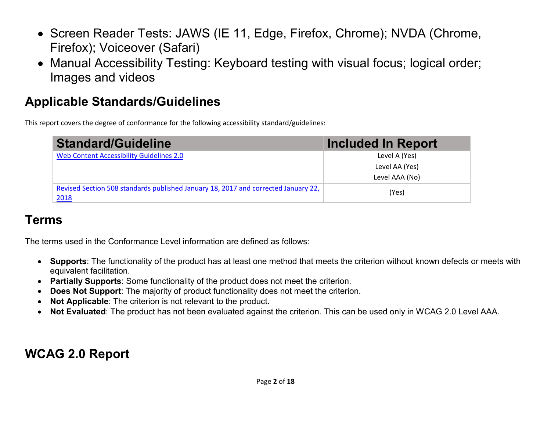- Screen Reader Tests: JAWS (IE 11, Edge, Firefox, Chrome); NVDA (Chrome, Firefox); Voiceover (Safari)
- Manual Accessibility Testing: Keyboard testing with visual focus; logical order; Images and videos

# **Applicable Standards/Guidelines**

This report covers the degree of conformance for the following accessibility standard/guidelines:

| <b>Standard/Guideline</b>                                                                  | Included In Report |
|--------------------------------------------------------------------------------------------|--------------------|
| Web Content Accessibility Guidelines 2.0                                                   | Level A (Yes)      |
|                                                                                            | Level AA (Yes)     |
|                                                                                            | Level AAA (No)     |
| Revised Section 508 standards published January 18, 2017 and corrected January 22,<br>2018 | (Yes)              |

## **Terms**

The terms used in the Conformance Level information are defined as follows:

- **Supports**: The functionality of the product has at least one method that meets the criterion without known defects or meets with equivalent facilitation.
- **Partially Supports**: Some functionality of the product does not meet the criterion.
- **Does Not Support**: The majority of product functionality does not meet the criterion.
- **Not Applicable**: The criterion is not relevant to the product.
- **Not Evaluated**: The product has not been evaluated against the criterion. This can be used only in WCAG 2.0 Level AAA.

## **WCAG 2.0 Report**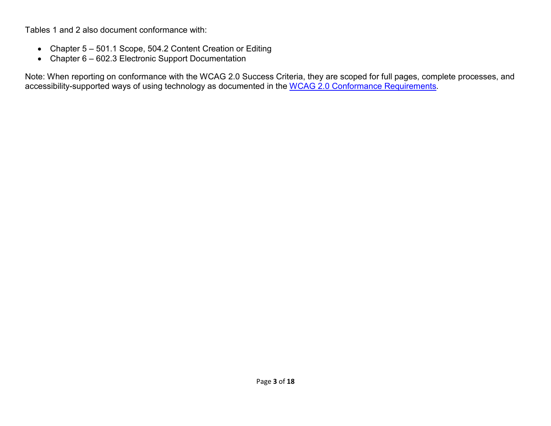Tables 1 and 2 also document conformance with:

- Chapter 5 501.1 Scope, 504.2 Content Creation or Editing
- Chapter 6 602.3 Electronic Support Documentation

Note: When reporting on conformance with the WCAG 2.0 Success Criteria, they are scoped for full pages, complete processes, and accessibility-supported ways of using technology as documented in the [WCAG 2.0 Conformance Requirements.](https://www.w3.org/TR/WCAG20/#conformance-reqs)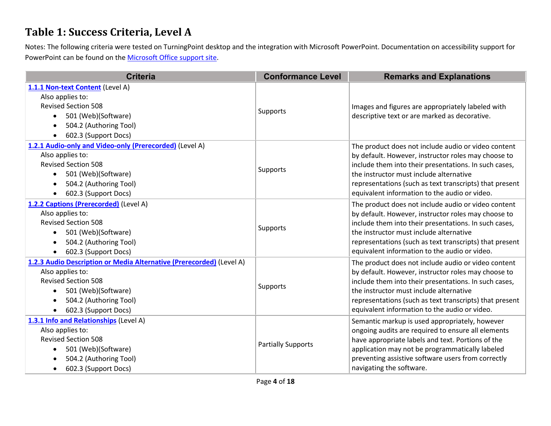#### **Table 1: Success Criteria, Level A**

Notes: The following criteria were tested on TurningPoint desktop and the integration with Microsoft PowerPoint. Documentation on accessibility support for PowerPoint can be found on the [Microsoft Office support site.](https://support.office.com/en-us/article/accessibility-support-for-powerpoint-9d2b646d-0b79-4135-a570-b8c7ad33ac2f#PickTab=Windows)

| <b>Criteria</b>                                                      | <b>Conformance Level</b>  | <b>Remarks and Explanations</b>                         |  |
|----------------------------------------------------------------------|---------------------------|---------------------------------------------------------|--|
| 1.1.1 Non-text Content (Level A)                                     |                           |                                                         |  |
| Also applies to:                                                     |                           |                                                         |  |
| <b>Revised Section 508</b>                                           | Supports                  | Images and figures are appropriately labeled with       |  |
| 501 (Web)(Software)<br>$\bullet$                                     |                           | descriptive text or are marked as decorative.           |  |
| 504.2 (Authoring Tool)<br>$\bullet$                                  |                           |                                                         |  |
| 602.3 (Support Docs)<br>$\bullet$                                    |                           |                                                         |  |
| 1.2.1 Audio-only and Video-only (Prerecorded) (Level A)              |                           | The product does not include audio or video content     |  |
| Also applies to:                                                     |                           | by default. However, instructor roles may choose to     |  |
| <b>Revised Section 508</b>                                           | Supports                  | include them into their presentations. In such cases,   |  |
| 501 (Web)(Software)<br>$\bullet$                                     |                           | the instructor must include alternative                 |  |
| 504.2 (Authoring Tool)<br>$\bullet$                                  |                           | representations (such as text transcripts) that present |  |
| 602.3 (Support Docs)<br>$\bullet$                                    |                           | equivalent information to the audio or video.           |  |
| 1.2.2 Captions (Prerecorded) (Level A)                               |                           | The product does not include audio or video content     |  |
| Also applies to:                                                     | Supports                  | by default. However, instructor roles may choose to     |  |
| <b>Revised Section 508</b>                                           |                           | include them into their presentations. In such cases,   |  |
| 501 (Web)(Software)<br>$\bullet$                                     |                           | the instructor must include alternative                 |  |
| 504.2 (Authoring Tool)<br>$\bullet$                                  |                           | representations (such as text transcripts) that present |  |
| 602.3 (Support Docs)<br>$\bullet$                                    |                           | equivalent information to the audio or video.           |  |
| 1.2.3 Audio Description or Media Alternative (Prerecorded) (Level A) |                           | The product does not include audio or video content     |  |
| Also applies to:                                                     |                           | by default. However, instructor roles may choose to     |  |
| <b>Revised Section 508</b>                                           | Supports                  | include them into their presentations. In such cases,   |  |
| 501 (Web)(Software)<br>$\bullet$                                     |                           | the instructor must include alternative                 |  |
| 504.2 (Authoring Tool)<br>$\bullet$                                  |                           | representations (such as text transcripts) that present |  |
| 602.3 (Support Docs)<br>$\bullet$                                    |                           | equivalent information to the audio or video.           |  |
| 1.3.1 Info and Relationships (Level A)                               |                           | Semantic markup is used appropriately, however          |  |
| Also applies to:                                                     |                           | ongoing audits are required to ensure all elements      |  |
| <b>Revised Section 508</b>                                           | <b>Partially Supports</b> | have appropriate labels and text. Portions of the       |  |
| 501 (Web)(Software)                                                  |                           | application may not be programmatically labeled         |  |
| 504.2 (Authoring Tool)                                               |                           | preventing assistive software users from correctly      |  |
| 602.3 (Support Docs)                                                 |                           | navigating the software.                                |  |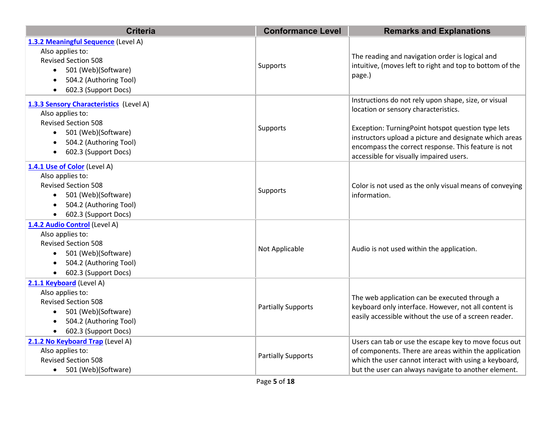| <b>Criteria</b>                         | <b>Conformance Level</b>  | <b>Remarks and Explanations</b>                                                                              |
|-----------------------------------------|---------------------------|--------------------------------------------------------------------------------------------------------------|
| 1.3.2 Meaningful Sequence (Level A)     |                           |                                                                                                              |
| Also applies to:                        |                           | The reading and navigation order is logical and                                                              |
| <b>Revised Section 508</b>              | Supports                  | intuitive, (moves left to right and top to bottom of the                                                     |
| 501 (Web)(Software)<br>$\bullet$        |                           | page.)                                                                                                       |
| 504.2 (Authoring Tool)<br>$\bullet$     |                           |                                                                                                              |
| 602.3 (Support Docs)                    |                           |                                                                                                              |
| 1.3.3 Sensory Characteristics (Level A) |                           | Instructions do not rely upon shape, size, or visual                                                         |
| Also applies to:                        |                           | location or sensory characteristics.                                                                         |
| <b>Revised Section 508</b>              |                           |                                                                                                              |
| 501 (Web)(Software)                     | Supports                  | Exception: TurningPoint hotspot question type lets<br>instructors upload a picture and designate which areas |
| 504.2 (Authoring Tool)                  |                           | encompass the correct response. This feature is not                                                          |
| 602.3 (Support Docs)<br>$\bullet$       |                           | accessible for visually impaired users.                                                                      |
| 1.4.1 Use of Color (Level A)            |                           |                                                                                                              |
| Also applies to:                        |                           |                                                                                                              |
| <b>Revised Section 508</b>              |                           | Color is not used as the only visual means of conveying                                                      |
| 501 (Web)(Software)<br>$\bullet$        | Supports                  | information.                                                                                                 |
| 504.2 (Authoring Tool)<br>$\bullet$     |                           |                                                                                                              |
| 602.3 (Support Docs)<br>$\bullet$       |                           |                                                                                                              |
| 1.4.2 Audio Control (Level A)           |                           |                                                                                                              |
| Also applies to:                        |                           |                                                                                                              |
| <b>Revised Section 508</b>              | Not Applicable            | Audio is not used within the application.                                                                    |
| 501 (Web)(Software)<br>$\bullet$        |                           |                                                                                                              |
| 504.2 (Authoring Tool)<br>$\bullet$     |                           |                                                                                                              |
| 602.3 (Support Docs)<br>$\bullet$       |                           |                                                                                                              |
| 2.1.1 Keyboard (Level A)                |                           |                                                                                                              |
| Also applies to:                        |                           | The web application can be executed through a                                                                |
| <b>Revised Section 508</b>              | <b>Partially Supports</b> | keyboard only interface. However, not all content is                                                         |
| 501 (Web)(Software)                     |                           | easily accessible without the use of a screen reader.                                                        |
| 504.2 (Authoring Tool)                  |                           |                                                                                                              |
| 602.3 (Support Docs)                    |                           |                                                                                                              |
| 2.1.2 No Keyboard Trap (Level A)        |                           | Users can tab or use the escape key to move focus out                                                        |
| Also applies to:                        | <b>Partially Supports</b> | of components. There are areas within the application                                                        |
| <b>Revised Section 508</b>              |                           | which the user cannot interact with using a keyboard,                                                        |
| • 501 (Web)(Software)                   |                           | but the user can always navigate to another element.                                                         |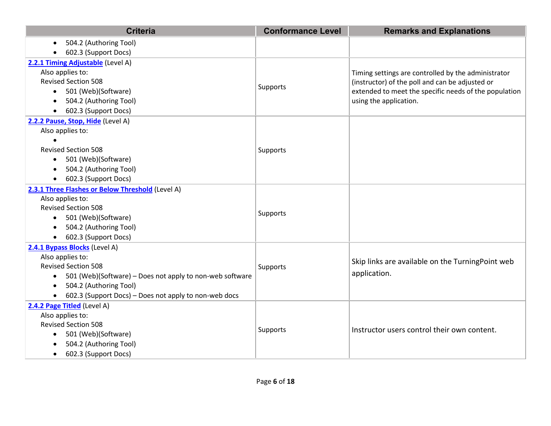| <b>Criteria</b>                                                       | <b>Conformance Level</b> | <b>Remarks and Explanations</b>                       |
|-----------------------------------------------------------------------|--------------------------|-------------------------------------------------------|
| 504.2 (Authoring Tool)<br>$\bullet$                                   |                          |                                                       |
| 602.3 (Support Docs)                                                  |                          |                                                       |
| 2.2.1 Timing Adjustable (Level A)                                     |                          |                                                       |
| Also applies to:                                                      |                          | Timing settings are controlled by the administrator   |
| <b>Revised Section 508</b>                                            |                          | (instructor) of the poll and can be adjusted or       |
| 501 (Web)(Software)                                                   | Supports                 | extended to meet the specific needs of the population |
| 504.2 (Authoring Tool)<br>$\bullet$                                   |                          | using the application.                                |
| 602.3 (Support Docs)<br>$\bullet$                                     |                          |                                                       |
| 2.2.2 Pause, Stop, Hide (Level A)                                     |                          |                                                       |
| Also applies to:                                                      |                          |                                                       |
|                                                                       |                          |                                                       |
| <b>Revised Section 508</b>                                            | Supports                 |                                                       |
| 501 (Web)(Software)<br>٠                                              |                          |                                                       |
| 504.2 (Authoring Tool)<br>$\bullet$                                   |                          |                                                       |
| 602.3 (Support Docs)<br>$\bullet$                                     |                          |                                                       |
| 2.3.1 Three Flashes or Below Threshold (Level A)                      |                          |                                                       |
| Also applies to:                                                      |                          |                                                       |
| <b>Revised Section 508</b>                                            | Supports                 |                                                       |
| 501 (Web)(Software)<br>$\bullet$                                      |                          |                                                       |
| 504.2 (Authoring Tool)<br>$\bullet$                                   |                          |                                                       |
| 602.3 (Support Docs)<br>$\bullet$                                     |                          |                                                       |
| 2.4.1 Bypass Blocks (Level A)                                         |                          |                                                       |
| Also applies to:                                                      |                          | Skip links are available on the TurningPoint web      |
| <b>Revised Section 508</b>                                            | Supports                 |                                                       |
| 501 (Web)(Software) - Does not apply to non-web software<br>$\bullet$ |                          | application.                                          |
| 504.2 (Authoring Tool)<br>$\bullet$                                   |                          |                                                       |
| 602.3 (Support Docs) - Does not apply to non-web docs<br>$\bullet$    |                          |                                                       |
| 2.4.2 Page Titled (Level A)                                           |                          |                                                       |
| Also applies to:                                                      |                          |                                                       |
| <b>Revised Section 508</b>                                            | Supports                 | Instructor users control their own content.           |
| 501 (Web)(Software)<br>$\bullet$                                      |                          |                                                       |
| 504.2 (Authoring Tool)                                                |                          |                                                       |
| 602.3 (Support Docs)<br>$\bullet$                                     |                          |                                                       |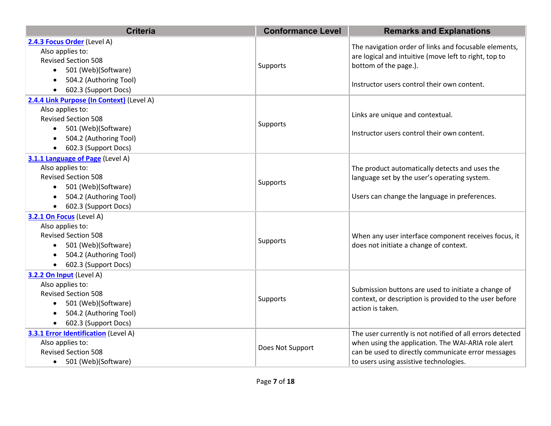| <b>Criteria</b>                                                                                                                                                                            | <b>Conformance Level</b> | <b>Remarks and Explanations</b>                                                                                                                                                                                  |
|--------------------------------------------------------------------------------------------------------------------------------------------------------------------------------------------|--------------------------|------------------------------------------------------------------------------------------------------------------------------------------------------------------------------------------------------------------|
| 2.4.3 Focus Order (Level A)<br>Also applies to:<br><b>Revised Section 508</b><br>501 (Web)(Software)<br>504.2 (Authoring Tool)<br>602.3 (Support Docs)                                     | Supports                 | The navigation order of links and focusable elements,<br>are logical and intuitive (move left to right, top to<br>bottom of the page.).<br>Instructor users control their own content.                           |
| 2.4.4 Link Purpose (In Context) (Level A)<br>Also applies to:<br><b>Revised Section 508</b><br>501 (Web)(Software)<br>$\bullet$<br>504.2 (Authoring Tool)<br>602.3 (Support Docs)          | Supports                 | Links are unique and contextual.<br>Instructor users control their own content.                                                                                                                                  |
| 3.1.1 Language of Page (Level A)<br>Also applies to:<br><b>Revised Section 508</b><br>501 (Web)(Software)<br>$\bullet$<br>504.2 (Authoring Tool)<br>602.3 (Support Docs)                   | Supports                 | The product automatically detects and uses the<br>language set by the user's operating system.<br>Users can change the language in preferences.                                                                  |
| 3.2.1 On Focus (Level A)<br>Also applies to:<br><b>Revised Section 508</b><br>501 (Web)(Software)<br>$\bullet$<br>504.2 (Authoring Tool)<br>$\bullet$<br>602.3 (Support Docs)<br>$\bullet$ | Supports                 | When any user interface component receives focus, it<br>does not initiate a change of context.                                                                                                                   |
| 3.2.2 On Input (Level A)<br>Also applies to:<br><b>Revised Section 508</b><br>501 (Web)(Software)<br>504.2 (Authoring Tool)<br>602.3 (Support Docs)<br>$\bullet$                           | Supports                 | Submission buttons are used to initiate a change of<br>context, or description is provided to the user before<br>action is taken.                                                                                |
| 3.3.1 Error Identification (Level A)<br>Also applies to:<br><b>Revised Section 508</b><br>• 501 (Web)(Software)                                                                            | Does Not Support         | The user currently is not notified of all errors detected<br>when using the application. The WAI-ARIA role alert<br>can be used to directly communicate error messages<br>to users using assistive technologies. |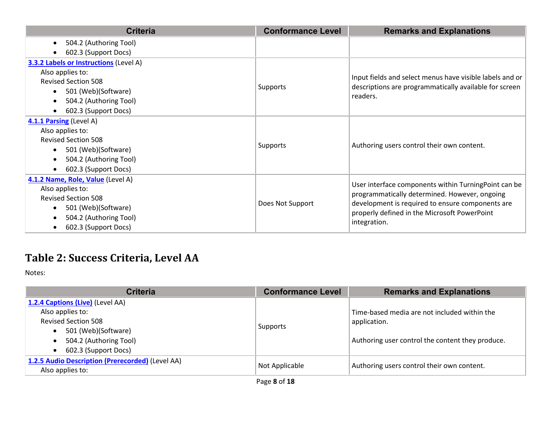| <b>Criteria</b>                               | <b>Conformance Level</b> | <b>Remarks and Explanations</b>                                                                                                                   |
|-----------------------------------------------|--------------------------|---------------------------------------------------------------------------------------------------------------------------------------------------|
| 504.2 (Authoring Tool)<br>$\bullet$           |                          |                                                                                                                                                   |
| 602.3 (Support Docs)                          |                          |                                                                                                                                                   |
| <b>3.3.2 Labels or Instructions (Level A)</b> |                          |                                                                                                                                                   |
| Also applies to:                              |                          |                                                                                                                                                   |
| <b>Revised Section 508</b>                    | Supports                 | Input fields and select menus have visible labels and or<br>descriptions are programmatically available for screen                                |
| 501 (Web)(Software)<br>$\bullet$              |                          | readers.                                                                                                                                          |
| 504.2 (Authoring Tool)<br>$\bullet$           |                          |                                                                                                                                                   |
| 602.3 (Support Docs)<br>$\bullet$             |                          |                                                                                                                                                   |
| 4.1.1 Parsing (Level A)                       |                          |                                                                                                                                                   |
| Also applies to:                              |                          |                                                                                                                                                   |
| <b>Revised Section 508</b>                    |                          |                                                                                                                                                   |
| 501 (Web)(Software)<br>$\bullet$              | Supports                 | Authoring users control their own content.                                                                                                        |
| 504.2 (Authoring Tool)<br>$\bullet$           |                          |                                                                                                                                                   |
| 602.3 (Support Docs)<br>$\bullet$             |                          |                                                                                                                                                   |
| 4.1.2 Name, Role, Value (Level A)             |                          |                                                                                                                                                   |
| Also applies to:                              |                          | User interface components within TurningPoint can be                                                                                              |
| <b>Revised Section 508</b>                    | Does Not Support         | programmatically determined. However, ongoing<br>development is required to ensure components are<br>properly defined in the Microsoft PowerPoint |
| 501 (Web)(Software)<br>$\bullet$              |                          |                                                                                                                                                   |
| 504.2 (Authoring Tool)<br>$\bullet$           |                          |                                                                                                                                                   |
| 602.3 (Support Docs)<br>$\bullet$             |                          | integration.                                                                                                                                      |

## **Table 2: Success Criteria, Level AA**

Notes:

| <b>Criteria</b>                                                                                                                                                                       | <b>Conformance Level</b> | <b>Remarks and Explanations</b>                                                                                  |
|---------------------------------------------------------------------------------------------------------------------------------------------------------------------------------------|--------------------------|------------------------------------------------------------------------------------------------------------------|
| 1.2.4 Captions (Live) (Level AA)<br>Also applies to:<br><b>Revised Section 508</b><br>501 (Web)(Software)<br>$\bullet$<br>504.2 (Authoring Tool)<br>602.3 (Support Docs)<br>$\bullet$ | Supports                 | Time-based media are not included within the<br>application.<br>Authoring user control the content they produce. |
| 1.2.5 Audio Description (Prerecorded) (Level AA)<br>Also applies to:                                                                                                                  | Not Applicable           | Authoring users control their own content.                                                                       |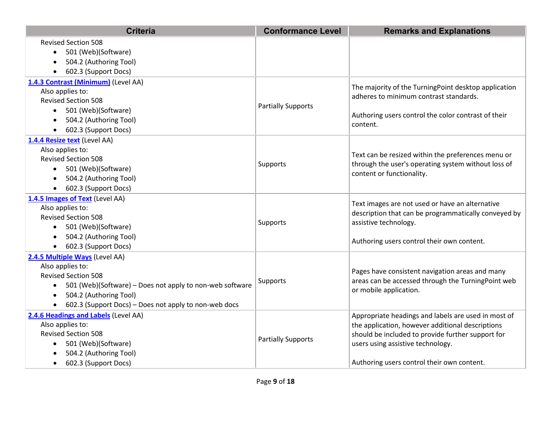| <b>Criteria</b>                                                                                                                                                                                                                                                | <b>Conformance Level</b>  | <b>Remarks and Explanations</b>                                                                                                                                                                                                                 |
|----------------------------------------------------------------------------------------------------------------------------------------------------------------------------------------------------------------------------------------------------------------|---------------------------|-------------------------------------------------------------------------------------------------------------------------------------------------------------------------------------------------------------------------------------------------|
| <b>Revised Section 508</b><br>501 (Web)(Software)<br>$\bullet$<br>504.2 (Authoring Tool)<br>$\bullet$<br>602.3 (Support Docs)<br>$\bullet$                                                                                                                     |                           |                                                                                                                                                                                                                                                 |
| 1.4.3 Contrast (Minimum) (Level AA)<br>Also applies to:<br><b>Revised Section 508</b><br>501 (Web)(Software)<br>$\bullet$<br>504.2 (Authoring Tool)<br>$\bullet$<br>602.3 (Support Docs)<br>٠                                                                  | <b>Partially Supports</b> | The majority of the TurningPoint desktop application<br>adheres to minimum contrast standards.<br>Authoring users control the color contrast of their<br>content.                                                                               |
| 1.4.4 Resize text (Level AA)<br>Also applies to:<br><b>Revised Section 508</b><br>501 (Web)(Software)<br>$\bullet$<br>504.2 (Authoring Tool)<br>$\bullet$<br>602.3 (Support Docs)<br>$\bullet$                                                                 | Supports                  | Text can be resized within the preferences menu or<br>through the user's operating system without loss of<br>content or functionality.                                                                                                          |
| 1.4.5 Images of Text (Level AA)<br>Also applies to:<br><b>Revised Section 508</b><br>501 (Web)(Software)<br>$\bullet$<br>504.2 (Authoring Tool)<br>$\bullet$<br>602.3 (Support Docs)<br>$\bullet$                                                              | Supports                  | Text images are not used or have an alternative<br>description that can be programmatically conveyed by<br>assistive technology.<br>Authoring users control their own content.                                                                  |
| 2.4.5 Multiple Ways (Level AA)<br>Also applies to:<br><b>Revised Section 508</b><br>501 (Web)(Software) – Does not apply to non-web software<br>$\bullet$<br>504.2 (Authoring Tool)<br>$\bullet$<br>602.3 (Support Docs) - Does not apply to non-web docs<br>٠ | <b>Supports</b>           | Pages have consistent navigation areas and many<br>areas can be accessed through the TurningPoint web<br>or mobile application.                                                                                                                 |
| 2.4.6 Headings and Labels (Level AA)<br>Also applies to:<br><b>Revised Section 508</b><br>501 (Web)(Software)<br>$\bullet$<br>504.2 (Authoring Tool)<br>602.3 (Support Docs)<br>$\bullet$                                                                      | <b>Partially Supports</b> | Appropriate headings and labels are used in most of<br>the application, however additional descriptions<br>should be included to provide further support for<br>users using assistive technology.<br>Authoring users control their own content. |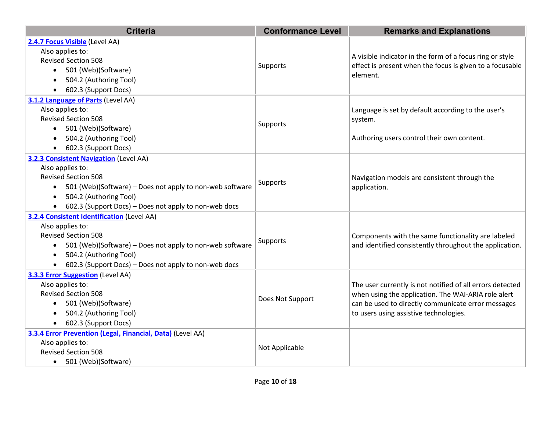| <b>Criteria</b>                                                       | <b>Conformance Level</b> | <b>Remarks and Explanations</b>                                                                                      |
|-----------------------------------------------------------------------|--------------------------|----------------------------------------------------------------------------------------------------------------------|
| 2.4.7 Focus Visible (Level AA)                                        |                          |                                                                                                                      |
| Also applies to:                                                      |                          |                                                                                                                      |
| <b>Revised Section 508</b>                                            |                          | A visible indicator in the form of a focus ring or style<br>effect is present when the focus is given to a focusable |
| 501 (Web)(Software)                                                   | Supports                 | element.                                                                                                             |
| 504.2 (Authoring Tool)<br>$\bullet$                                   |                          |                                                                                                                      |
| 602.3 (Support Docs)                                                  |                          |                                                                                                                      |
| 3.1.2 Language of Parts (Level AA)                                    |                          |                                                                                                                      |
| Also applies to:                                                      |                          | Language is set by default according to the user's                                                                   |
| <b>Revised Section 508</b>                                            | Supports                 | system.                                                                                                              |
| • 501 (Web)(Software)                                                 |                          |                                                                                                                      |
| 504.2 (Authoring Tool)                                                |                          | Authoring users control their own content.                                                                           |
| 602.3 (Support Docs)                                                  |                          |                                                                                                                      |
| <b>3.2.3 Consistent Navigation (Level AA)</b>                         |                          |                                                                                                                      |
| Also applies to:                                                      |                          |                                                                                                                      |
| <b>Revised Section 508</b>                                            | Supports                 | Navigation models are consistent through the                                                                         |
| 501 (Web)(Software) – Does not apply to non-web software<br>$\bullet$ |                          | application.                                                                                                         |
| 504.2 (Authoring Tool)<br>$\bullet$                                   |                          |                                                                                                                      |
| 602.3 (Support Docs) - Does not apply to non-web docs                 |                          |                                                                                                                      |
| 3.2.4 Consistent Identification (Level AA)                            |                          |                                                                                                                      |
| Also applies to:                                                      |                          |                                                                                                                      |
| <b>Revised Section 508</b>                                            | Supports                 | Components with the same functionality are labeled                                                                   |
| 501 (Web)(Software) - Does not apply to non-web software<br>$\bullet$ |                          | and identified consistently throughout the application.                                                              |
| 504.2 (Authoring Tool)<br>$\bullet$                                   |                          |                                                                                                                      |
| 602.3 (Support Docs) - Does not apply to non-web docs                 |                          |                                                                                                                      |
| 3.3.3 Error Suggestion (Level AA)                                     |                          |                                                                                                                      |
| Also applies to:                                                      |                          | The user currently is not notified of all errors detected                                                            |
| <b>Revised Section 508</b>                                            | Does Not Support         | when using the application. The WAI-ARIA role alert                                                                  |
| 501 (Web)(Software)                                                   |                          | can be used to directly communicate error messages                                                                   |
| 504.2 (Authoring Tool)                                                |                          | to users using assistive technologies.                                                                               |
| 602.3 (Support Docs)<br>$\bullet$                                     |                          |                                                                                                                      |
| 3.3.4 Error Prevention (Legal, Financial, Data) (Level AA)            |                          |                                                                                                                      |
| Also applies to:                                                      | Not Applicable           |                                                                                                                      |
| <b>Revised Section 508</b>                                            |                          |                                                                                                                      |
| • 501 (Web)(Software)                                                 |                          |                                                                                                                      |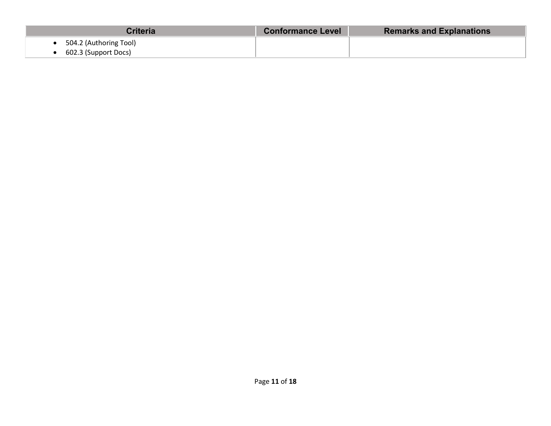| Criteria               | <b>Conformance Level</b> | <b>Remarks and Explanations</b> |
|------------------------|--------------------------|---------------------------------|
| 504.2 (Authoring Tool) |                          |                                 |
| 602.3 (Support Docs)   |                          |                                 |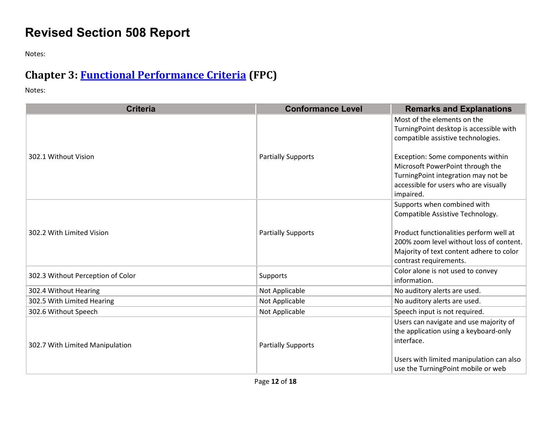# **Revised Section 508 Report**

Notes:

# **Chapter 3: [Functional Performance Criteria](https://www.access-board.gov/guidelines-and-standards/communications-and-it/about-the-ict-refresh/final-rule/text-of-the-standards-and-guidelines#302-functional-performance-criteria) (FPC)**

Notes:

| <b>Criteria</b>                   | <b>Conformance Level</b>  | <b>Remarks and Explanations</b>                                                                                                                                                                                              |
|-----------------------------------|---------------------------|------------------------------------------------------------------------------------------------------------------------------------------------------------------------------------------------------------------------------|
|                                   |                           | Most of the elements on the<br>TurningPoint desktop is accessible with<br>compatible assistive technologies.                                                                                                                 |
| 302.1 Without Vision              | <b>Partially Supports</b> | Exception: Some components within<br>Microsoft PowerPoint through the<br>TurningPoint integration may not be<br>accessible for users who are visually<br>impaired.                                                           |
| 302.2 With Limited Vision         | <b>Partially Supports</b> | Supports when combined with<br>Compatible Assistive Technology.<br>Product functionalities perform well at<br>200% zoom level without loss of content.<br>Majority of text content adhere to color<br>contrast requirements. |
| 302.3 Without Perception of Color | Supports                  | Color alone is not used to convey<br>information.                                                                                                                                                                            |
| 302.4 Without Hearing             | Not Applicable            | No auditory alerts are used.                                                                                                                                                                                                 |
| 302.5 With Limited Hearing        | Not Applicable            | No auditory alerts are used.                                                                                                                                                                                                 |
| 302.6 Without Speech              | Not Applicable            | Speech input is not required.                                                                                                                                                                                                |
| 302.7 With Limited Manipulation   | <b>Partially Supports</b> | Users can navigate and use majority of<br>the application using a keyboard-only<br>interface.<br>Users with limited manipulation can also<br>use the TurningPoint mobile or web                                              |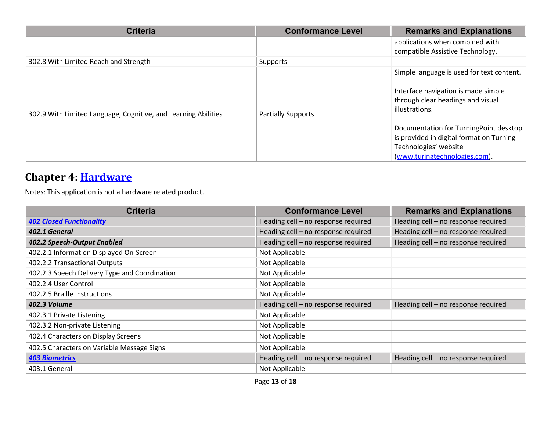| <b>Criteria</b>                                                | <b>Conformance Level</b>  | <b>Remarks and Explanations</b>           |
|----------------------------------------------------------------|---------------------------|-------------------------------------------|
|                                                                |                           | applications when combined with           |
|                                                                |                           | compatible Assistive Technology.          |
| 302.8 With Limited Reach and Strength                          | Supports                  |                                           |
|                                                                |                           | Simple language is used for text content. |
|                                                                |                           | Interface navigation is made simple       |
|                                                                |                           | through clear headings and visual         |
| 302.9 With Limited Language, Cognitive, and Learning Abilities | <b>Partially Supports</b> | illustrations.                            |
|                                                                |                           | Documentation for TurningPoint desktop    |
|                                                                |                           | is provided in digital format on Turning  |
|                                                                |                           | Technologies' website                     |
|                                                                |                           | (www.turingtechnologies.com).             |

#### **Chapter 4: [Hardware](https://www.access-board.gov/guidelines-and-standards/communications-and-it/about-the-ict-refresh/final-rule/text-of-the-standards-and-guidelines#401-general)**

Notes: This application is not a hardware related product.

| <b>Criteria</b>                               | <b>Conformance Level</b>            | <b>Remarks and Explanations</b>     |
|-----------------------------------------------|-------------------------------------|-------------------------------------|
| <b>402 Closed Functionality</b>               | Heading cell - no response required | Heading cell - no response required |
| 402.1 General                                 | Heading cell - no response required | Heading cell - no response required |
| 402.2 Speech-Output Enabled                   | Heading cell - no response required | Heading cell - no response required |
| 402.2.1 Information Displayed On-Screen       | Not Applicable                      |                                     |
| 402.2.2 Transactional Outputs                 | Not Applicable                      |                                     |
| 402.2.3 Speech Delivery Type and Coordination | Not Applicable                      |                                     |
| 402.2.4 User Control                          | Not Applicable                      |                                     |
| 402.2.5 Braille Instructions                  | Not Applicable                      |                                     |
| 402.3 Volume                                  | Heading cell - no response required | Heading cell - no response required |
| 402.3.1 Private Listening                     | Not Applicable                      |                                     |
| 402.3.2 Non-private Listening                 | Not Applicable                      |                                     |
| 402.4 Characters on Display Screens           | Not Applicable                      |                                     |
| 402.5 Characters on Variable Message Signs    | Not Applicable                      |                                     |
| <b>403 Biometrics</b>                         | Heading cell - no response required | Heading cell - no response required |
| 403.1 General                                 | Not Applicable                      |                                     |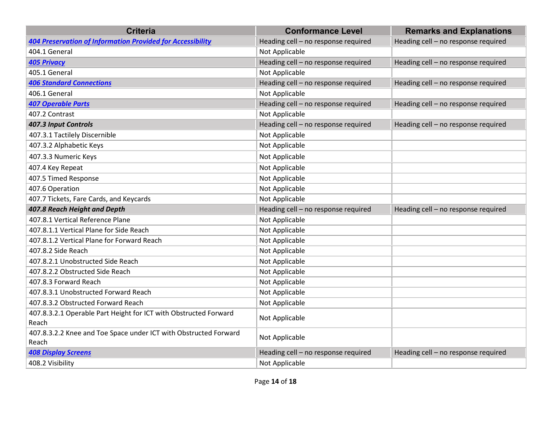| <b>Criteria</b>                                                           | <b>Conformance Level</b>            | <b>Remarks and Explanations</b>     |
|---------------------------------------------------------------------------|-------------------------------------|-------------------------------------|
| <b>404 Preservation of Information Provided for Accessibility</b>         | Heading cell - no response required | Heading cell - no response required |
| 404.1 General                                                             | Not Applicable                      |                                     |
| <b>405 Privacy</b>                                                        | Heading cell - no response required | Heading cell - no response required |
| 405.1 General                                                             | Not Applicable                      |                                     |
| <b>406 Standard Connections</b>                                           | Heading cell - no response required | Heading cell - no response required |
| 406.1 General                                                             | Not Applicable                      |                                     |
| <b>407 Operable Parts</b>                                                 | Heading cell - no response required | Heading cell - no response required |
| 407.2 Contrast                                                            | Not Applicable                      |                                     |
| 407.3 Input Controls                                                      | Heading cell - no response required | Heading cell - no response required |
| 407.3.1 Tactilely Discernible                                             | Not Applicable                      |                                     |
| 407.3.2 Alphabetic Keys                                                   | Not Applicable                      |                                     |
| 407.3.3 Numeric Keys                                                      | Not Applicable                      |                                     |
| 407.4 Key Repeat                                                          | Not Applicable                      |                                     |
| 407.5 Timed Response                                                      | Not Applicable                      |                                     |
| 407.6 Operation                                                           | Not Applicable                      |                                     |
| 407.7 Tickets, Fare Cards, and Keycards                                   | Not Applicable                      |                                     |
| 407.8 Reach Height and Depth                                              | Heading cell - no response required | Heading cell - no response required |
| 407.8.1 Vertical Reference Plane                                          | Not Applicable                      |                                     |
| 407.8.1.1 Vertical Plane for Side Reach                                   | Not Applicable                      |                                     |
| 407.8.1.2 Vertical Plane for Forward Reach                                | Not Applicable                      |                                     |
| 407.8.2 Side Reach                                                        | Not Applicable                      |                                     |
| 407.8.2.1 Unobstructed Side Reach                                         | Not Applicable                      |                                     |
| 407.8.2.2 Obstructed Side Reach                                           | Not Applicable                      |                                     |
| 407.8.3 Forward Reach                                                     | Not Applicable                      |                                     |
| 407.8.3.1 Unobstructed Forward Reach                                      | Not Applicable                      |                                     |
| 407.8.3.2 Obstructed Forward Reach                                        | Not Applicable                      |                                     |
| 407.8.3.2.1 Operable Part Height for ICT with Obstructed Forward<br>Reach | Not Applicable                      |                                     |
| 407.8.3.2.2 Knee and Toe Space under ICT with Obstructed Forward<br>Reach | Not Applicable                      |                                     |
| <b>408 Display Screens</b>                                                | Heading cell - no response required | Heading cell - no response required |
| 408.2 Visibility                                                          | Not Applicable                      |                                     |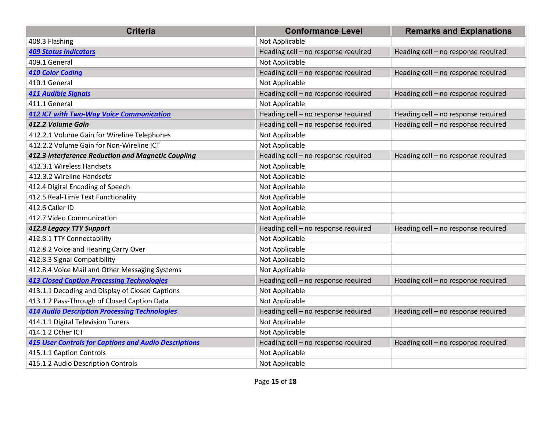| <b>Criteria</b>                                              | <b>Conformance Level</b>            | <b>Remarks and Explanations</b>     |
|--------------------------------------------------------------|-------------------------------------|-------------------------------------|
| 408.3 Flashing                                               | Not Applicable                      |                                     |
| <b>409 Status Indicators</b>                                 | Heading cell - no response required | Heading cell - no response required |
| 409.1 General                                                | Not Applicable                      |                                     |
| <b>410 Color Coding</b>                                      | Heading cell - no response required | Heading cell - no response required |
| 410.1 General                                                | Not Applicable                      |                                     |
| <b>411 Audible Signals</b>                                   | Heading cell - no response required | Heading cell - no response required |
| 411.1 General                                                | Not Applicable                      |                                     |
| <b>412 ICT with Two-Way Voice Communication</b>              | Heading cell - no response required | Heading cell - no response required |
| 412.2 Volume Gain                                            | Heading cell - no response required | Heading cell - no response required |
| 412.2.1 Volume Gain for Wireline Telephones                  | Not Applicable                      |                                     |
| 412.2.2 Volume Gain for Non-Wireline ICT                     | Not Applicable                      |                                     |
| 412.3 Interference Reduction and Magnetic Coupling           | Heading cell - no response required | Heading cell - no response required |
| 412.3.1 Wireless Handsets                                    | Not Applicable                      |                                     |
| 412.3.2 Wireline Handsets                                    | Not Applicable                      |                                     |
| 412.4 Digital Encoding of Speech                             | Not Applicable                      |                                     |
| 412.5 Real-Time Text Functionality                           | Not Applicable                      |                                     |
| 412.6 Caller ID                                              | Not Applicable                      |                                     |
| 412.7 Video Communication                                    | Not Applicable                      |                                     |
| 412.8 Legacy TTY Support                                     | Heading cell - no response required | Heading cell - no response required |
| 412.8.1 TTY Connectability                                   | Not Applicable                      |                                     |
| 412.8.2 Voice and Hearing Carry Over                         | Not Applicable                      |                                     |
| 412.8.3 Signal Compatibility                                 | Not Applicable                      |                                     |
| 412.8.4 Voice Mail and Other Messaging Systems               | Not Applicable                      |                                     |
| <b>413 Closed Caption Processing Technologies</b>            | Heading cell - no response required | Heading cell - no response required |
| 413.1.1 Decoding and Display of Closed Captions              | Not Applicable                      |                                     |
| 413.1.2 Pass-Through of Closed Caption Data                  | Not Applicable                      |                                     |
| <b>414 Audio Description Processing Technologies</b>         | Heading cell - no response required | Heading cell - no response required |
| 414.1.1 Digital Television Tuners                            | Not Applicable                      |                                     |
| 414.1.2 Other ICT                                            | Not Applicable                      |                                     |
| <b>415 User Controls for Captions and Audio Descriptions</b> | Heading cell - no response required | Heading cell - no response required |
| 415.1.1 Caption Controls                                     | Not Applicable                      |                                     |
| 415.1.2 Audio Description Controls                           | Not Applicable                      |                                     |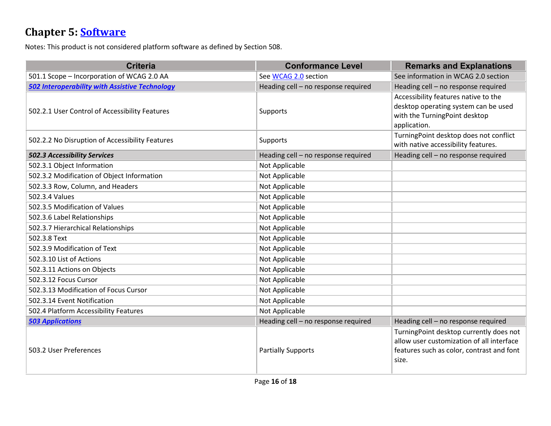## **Chapter 5: [Software](https://www.access-board.gov/guidelines-and-standards/communications-and-it/about-the-ict-refresh/final-rule/text-of-the-standards-and-guidelines#501-general)**

Notes: This product is not considered platform software as defined by Section 508.

| <b>Criteria</b>                                       | <b>Conformance Level</b>            | <b>Remarks and Explanations</b>                                                                                                            |
|-------------------------------------------------------|-------------------------------------|--------------------------------------------------------------------------------------------------------------------------------------------|
| 501.1 Scope - Incorporation of WCAG 2.0 AA            | See WCAG 2.0 section                | See information in WCAG 2.0 section                                                                                                        |
| <b>502 Interoperability with Assistive Technology</b> | Heading cell - no response required | Heading cell - no response required                                                                                                        |
| 502.2.1 User Control of Accessibility Features        | Supports                            | Accessibility features native to the<br>desktop operating system can be used<br>with the TurningPoint desktop<br>application.              |
| 502.2.2 No Disruption of Accessibility Features       | Supports                            | TurningPoint desktop does not conflict<br>with native accessibility features.                                                              |
| <b>502.3 Accessibility Services</b>                   | Heading cell - no response required | Heading cell - no response required                                                                                                        |
| 502.3.1 Object Information                            | Not Applicable                      |                                                                                                                                            |
| 502.3.2 Modification of Object Information            | Not Applicable                      |                                                                                                                                            |
| 502.3.3 Row, Column, and Headers                      | Not Applicable                      |                                                                                                                                            |
| 502.3.4 Values                                        | Not Applicable                      |                                                                                                                                            |
| 502.3.5 Modification of Values                        | Not Applicable                      |                                                                                                                                            |
| 502.3.6 Label Relationships                           | Not Applicable                      |                                                                                                                                            |
| 502.3.7 Hierarchical Relationships                    | Not Applicable                      |                                                                                                                                            |
| 502.3.8 Text                                          | Not Applicable                      |                                                                                                                                            |
| 502.3.9 Modification of Text                          | Not Applicable                      |                                                                                                                                            |
| 502.3.10 List of Actions                              | Not Applicable                      |                                                                                                                                            |
| 502.3.11 Actions on Objects                           | Not Applicable                      |                                                                                                                                            |
| 502.3.12 Focus Cursor                                 | Not Applicable                      |                                                                                                                                            |
| 502.3.13 Modification of Focus Cursor                 | Not Applicable                      |                                                                                                                                            |
| 502.3.14 Event Notification                           | Not Applicable                      |                                                                                                                                            |
| 502.4 Platform Accessibility Features                 | Not Applicable                      |                                                                                                                                            |
| <b>503 Applications</b>                               | Heading cell - no response required | Heading cell - no response required                                                                                                        |
| 503.2 User Preferences                                | <b>Partially Supports</b>           | TurningPoint desktop currently does not<br>allow user customization of all interface<br>features such as color, contrast and font<br>size. |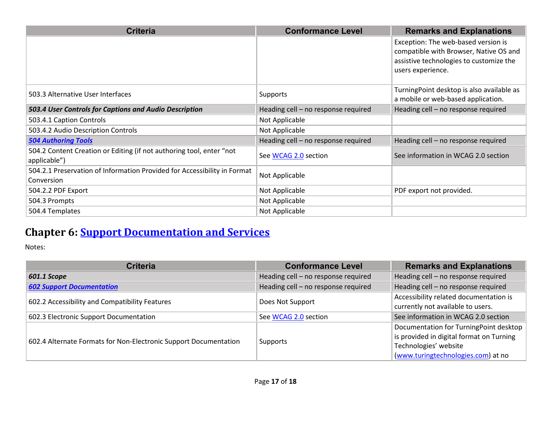| <b>Criteria</b>                                                                        | <b>Conformance Level</b>            | <b>Remarks and Explanations</b>                                                 |
|----------------------------------------------------------------------------------------|-------------------------------------|---------------------------------------------------------------------------------|
|                                                                                        |                                     | Exception: The web-based version is<br>compatible with Browser, Native OS and   |
|                                                                                        |                                     | assistive technologies to customize the                                         |
|                                                                                        |                                     | users experience.                                                               |
| 503.3 Alternative User Interfaces                                                      | Supports                            | TurningPoint desktop is also available as<br>a mobile or web-based application. |
| 503.4 User Controls for Captions and Audio Description                                 | Heading cell - no response required | Heading cell - no response required                                             |
| 503.4.1 Caption Controls                                                               | Not Applicable                      |                                                                                 |
| 503.4.2 Audio Description Controls                                                     | Not Applicable                      |                                                                                 |
| <b>504 Authoring Tools</b>                                                             | Heading cell - no response required | Heading cell – no response required                                             |
| 504.2 Content Creation or Editing (if not authoring tool, enter "not<br>applicable")   | See WCAG 2.0 section                | See information in WCAG 2.0 section                                             |
| 504.2.1 Preservation of Information Provided for Accessibility in Format<br>Conversion | Not Applicable                      |                                                                                 |
| 504.2.2 PDF Export                                                                     | Not Applicable                      | PDF export not provided.                                                        |
| 504.3 Prompts                                                                          | Not Applicable                      |                                                                                 |
| 504.4 Templates                                                                        | Not Applicable                      |                                                                                 |

## **Chapter 6: [Support Documentation and Services](https://www.access-board.gov/guidelines-and-standards/communications-and-it/about-the-ict-refresh/final-rule/text-of-the-standards-and-guidelines#601-general)**

Notes:

| <b>Criteria</b>                                                  | <b>Conformance Level</b>            | <b>Remarks and Explanations</b>                                                                                                                   |
|------------------------------------------------------------------|-------------------------------------|---------------------------------------------------------------------------------------------------------------------------------------------------|
| 601.1 Scope                                                      | Heading cell - no response required | Heading cell - no response required                                                                                                               |
| <b>602 Support Documentation</b>                                 | Heading cell - no response required | Heading cell - no response required                                                                                                               |
| 602.2 Accessibility and Compatibility Features                   | Does Not Support                    | Accessibility related documentation is<br>currently not available to users.                                                                       |
| 602.3 Electronic Support Documentation                           | See WCAG 2.0 section                | See information in WCAG 2.0 section                                                                                                               |
| 602.4 Alternate Formats for Non-Electronic Support Documentation | Supports                            | Documentation for TurningPoint desktop<br>is provided in digital format on Turning<br>Technologies' website<br>(www.turingtechnologies.com) at no |